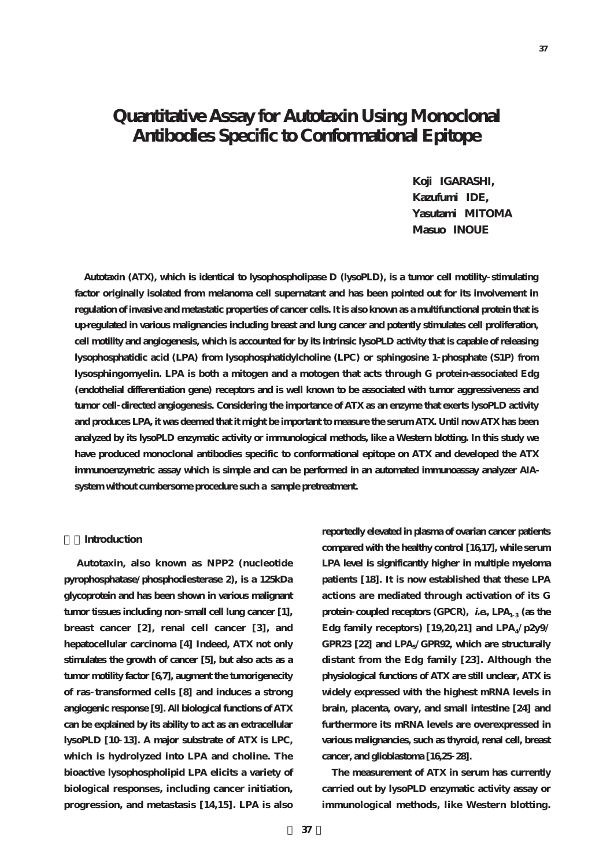**Koji IGARASHI, Kazufumi IDE, Yasutami MITOMA Masuo INOUE**

**Autotaxin (ATX), which is identical to lysophospholipase D (lysoPLD), is a tumor cell motility stimulating factor originally isolated from melanoma cell supernatant and has been pointed out for its involvement in regulation of invasive and metastatic properties of cancer cells. It is also known as a multifunctional protein that is up-regulated in various malignancies including breast and lung cancer and potently stimulates cell proliferation, cell motility and angiogenesis, which is accounted for by its intrinsic lysoPLD activity that is capable of releasing lysophosphatidic acid (LPA) from lysophosphatidylcholine (LPC) or sphingosine 1 phosphate (S1P) from lysosphingomyelin. LPA is both a mitogen and a motogen that acts through G protein-associated Edg (endothelial differentiation gene) receptors and is well known to be associated with tumor aggressiveness and tumor cell directed angiogenesis. Considering the importance of ATX as an enzyme that exerts lysoPLD activity and produces LPA, it was deemed that it might be important to measure the serum ATX. Until now ATX has been analyzed by its lysoPLD enzymatic activity or immunological methods, like a Western blotting. In this study we have produced monoclonal antibodies specific to conformational epitope on ATX and developed the ATX immunoenzymetric assay which is simple and can be performed in an automated immunoassay analyzer AIAsystem without cumbersome procedure such a sample pretreatment.** 

### **1.Introduction**

**Autotaxin, also known as NPP2 (nucleotide pyrophosphatase/phosphodiesterase 2), is a 125kDa glycoprotein and has been shown in various malignant tumor tissues including non small cell lung cancer [1], breast cancer [2], renal cell cancer [3], and hepatocellular carcinoma [4] Indeed, ATX not only stimulates the growth of cancer [5], but also acts as a tumor motility factor [6,7], augment the tumorigenecity of ras transformed cells [8] and induces a strong angiogenic response [9]. All biological functions of ATX can be explained by its ability to act as an extracellular lysoPLD [10 13]. A major substrate of ATX is LPC, which is hydrolyzed into LPA and choline. The bioactive lysophospholipid LPA elicits a variety of biological responses, including cancer initiation, progression, and metastasis [14,15]. LPA is also**

**reportedly elevated in plasma of ovarian cancer patients compared with the healthy control [16,17], while serum LPA level is significantly higher in multiple myeloma patients [18]. It is now established that these LPA actions are mediated through activation of its G protein coupled receptors** (GPCR), *i.e.***, LPA<sub>1</sub>**  $_3$  **(as the** Edg family receptors) [19,20,21] and LPA<sub>4</sub>/p2y9/ **GPR23 [22] and LPA5/GPR92, which are structurally distant from the Edg family [23]. Although the physiological functions of ATX are still unclear, ATX is widely expressed with the highest mRNA levels in brain, placenta, ovary, and small intestine [24] and furthermore its mRNA levels are overexpressed in various malignancies, such as thyroid, renal cell, breast cancer, and glioblastoma [16,25 28].**

**The measurement of ATX in serum has currently carried out by lysoPLD enzymatic activity assay or immunological methods, like Western blotting.**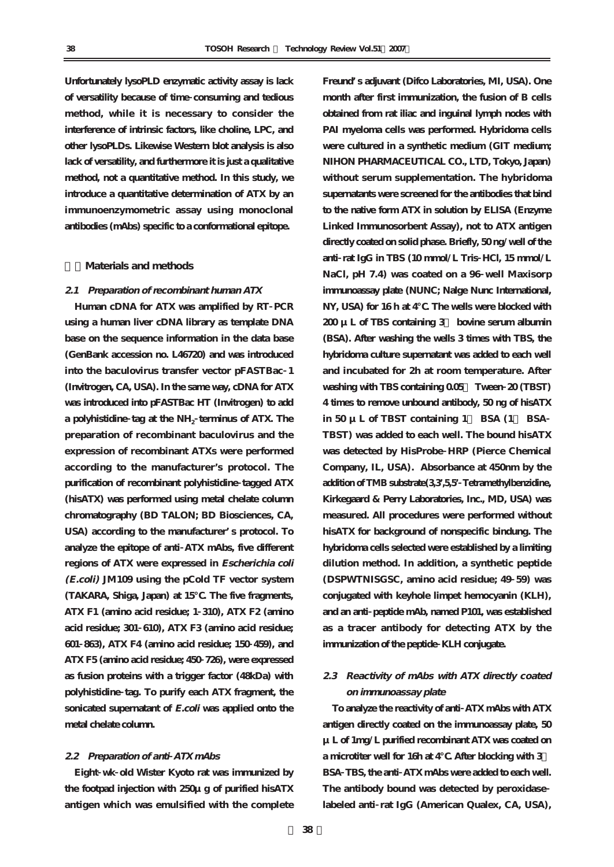**Unfortunately lysoPLD enzymatic activity assay is lack of versatility because of time consuming and tedious method, while it is necessary to consider the interference of intrinsic factors, like choline, LPC, and other lysoPLDs. Likewise Western blot analysis is also lack of versatility, and furthermore it is just a qualitative method, not a quantitative method. In this study, we introduce a quantitative determination of ATX by an immunoenzymometric assay using monoclonal antibodies (mAbs) specific to a conformational epitope.**

### **2.Materials and methods**

#### **2.1 Preparation of recombinant human ATX**

**Human cDNA for ATX was amplified by RT PCR using a human liver cDNA library as template DNA base on the sequence information in the data base (GenBank accession no. L46720) and was introduced into the baculovirus transfer vector pFASTBac 1 (Invitrogen, CA, USA). In the same way, cDNA for ATX was introduced into pFASTBac HT (Invitrogen) to add a polyhistidine tag at the NH2 terminus of ATX. The preparation of recombinant baculovirus and the expression of recombinant ATXs were performed according to the manufacturer's protocol. The purification of recombinant polyhistidine tagged ATX (hisATX) was performed using metal chelate column chromatography (BD TALON; BD Biosciences, CA, USA) according to the manufacturer's protocol. To analyze the epitope of anti ATX mAbs, five different regions of ATX were expressed in Escherichia coli (E.coli) JM109 using the pCold TF vector system (TAKARA, Shiga, Japan) at 15℃. The five fragments, ATX F1 (amino acid residue; 1 310), ATX F2 (amino acid residue; 301 610), ATX F3 (amino acid residue; 601 863), ATX F4 (amino acid residue; 150 459), and ATX F5 (amino acid residue; 450 726), were expressed as fusion proteins with a trigger factor (48kDa) with polyhistidine tag. To purify each ATX fragment, the sonicated supernatant of E.coli was applied onto the metal chelate column.**

### **2.2 Preparation of anti ATX mAbs**

**Eight wk old Wister Kyoto rat was immunized by the footpad injection with 250μg of purified hisATX antigen which was emulsified with the complete**

**Freund's adjuvant (Difco Laboratories, MI, USA). One month after first immunization, the fusion of B cells obtained from rat iliac and inguinal lymph nodes with PAI myeloma cells was performed. Hybridoma cells were cultured in a synthetic medium (GIT medium; NIHON PHARMACEUTICAL CO., LTD, Tokyo, Japan) without serum supplementation. The hybridoma supernatants were screened for the antibodies that bind to the native form ATX in solution by ELISA (Enzyme Linked Immunosorbent Assay), not to ATX antigen directly coated on solid phase. Briefly, 50 ng/well of the anti rat IgG in TBS (10 mmol/L Tris HCl, 15 mmol/L NaCl, pH 7.4) was coated on a 96 well Maxisorp immunoassay plate (NUNC; Nalge Nunc International, NY, USA) for 16 h at 4℃. The wells were blocked with 200 μL of TBS containing 3% bovine serum albumin (BSA). After washing the wells 3 times with TBS, the hybridoma culture supernatant was added to each well and incubated for 2h at room temperature. After washing with TBS containing 0.05% Tween 20 (TBST) 4 times to remove unbound antibody, 50 ng of hisATX in 50 μL of TBST containing 1% BSA (1% BSA TBST) was added to each well. The bound hisATX was detected by HisProbe HRP (Pierce Chemical Company, IL, USA). Absorbance at 450nm by the addition of TMB substrate(3,3',5,5'Tetramethylbenzidine, Kirkegaard & Perry Laboratories, Inc., MD, USA) was measured. All procedures were performed without hisATX for background of nonspecific bindung. The hybridoma cells selected were established by a limiting dilution method. In addition, a synthetic peptide (DSPWTNISGSC, amino acid residue; 49 59) was conjugated with keyhole limpet hemocyanin (KLH), and an anti peptide mAb, named P101, was established as a tracer antibody for detecting ATX by the immunization of the peptide KLH conjugate.**

## **2.3 Reactivity of mAbs with ATX directly coated on immunoassay plate**

**To analyze the reactivity of anti ATX mAbs with ATX antigen directly coated on the immunoassay plate, 50 μL of 1mg/L purified recombinant ATX was coated on a microtiter well for 16h at 4℃. After blocking with 3% BSA TBS, the anti ATX mAbs were added to each well. The antibody bound was detected by peroxidase labeled anti rat IgG (American Qualex, CA, USA),**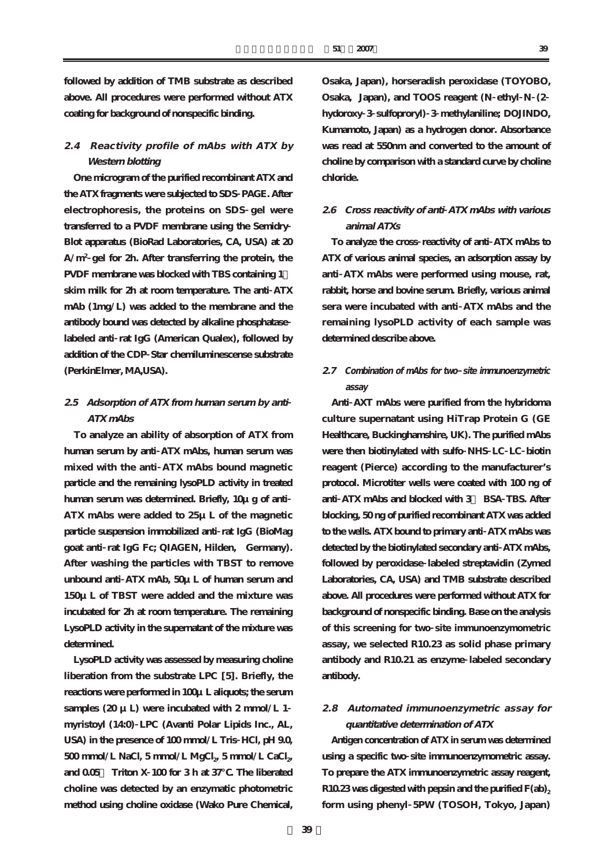**followed by addition of TMB substrate as described above. All procedures were performed without ATX coating for background of nonspecific binding.**

# **2.4 Reactivity profile of mAbs with ATX by Western blotting**

**One microgram of the purified recombinant ATX and the ATX fragments were subjected to SDS PAGE. After electrophoresis, the proteins on SDS gel were transferred to a PVDF membrane using the Semidry Blot apparatus (BioRad Laboratories, CA, USA) at 20 A/m<sup>2</sup> gel for 2h. After transferring the protein, the PVDF membrane was blocked with TBS containing 1% skim milk for 2h at room temperature. The anti ATX mAb (1mg/L) was added to the membrane and the antibody bound was detected by alkaline phosphatase labeled anti rat IgG (American Qualex), followed by addition of the CDP Star chemiluminescense substrate (PerkinElmer, MA,USA).**

# **2.5 Adsorption of ATX from human serum by anti ATX mAbs**

**To analyze an ability of absorption of ATX from human serum by anti ATX mAbs, human serum was mixed with the anti ATX mAbs bound magnetic particle and the remaining lysoPLD activity in treated human serum was determined. Briefly, 10μg of anti ATX mAbs were added to 25μL of the magnetic particle suspension immobilized anti rat IgG (BioMag goat anti rat IgG Fc; QIAGEN, Hilden, Germany). After washing the particles with TBST to remove unbound anti ATX mAb, 50μL of human serum and 150μL of TBST were added and the mixture was incubated for 2h at room temperature. The remaining LysoPLD activity in the supernatant of the mixture was determined.** 

**LysoPLD activity was assessed by measuring choline liberation from the substrate LPC [5]. Briefly, the reactions were performed in 100μL aliquots; the serum** samples  $(20 \mu L)$  were incubated with  $2 \text{ mmol/L } 1$ **myristoyl (14:0) LPC (Avanti Polar Lipids Inc., AL, USA) in the presence of 100 mmol/L Tris HCl, pH 9.0,** 500 mmol/L NaCl, 5 mmol/L MgCl<sub>2</sub>, 5 mmol/L CaCl<sub>2</sub>, **and 0.05% Triton X 100 for 3 h at 37℃. The liberated choline was detected by an enzymatic photometric method using choline oxidase (Wako Pure Chemical,**

**Osaka, Japan), horseradish peroxidase (TOYOBO, Osaka, Japan), and TOOS reagent (N ethyl N (2 hydoroxy 3 sulfoproryl) 3 methylaniline; DOJINDO, Kumamoto, Japan) as a hydrogen donor. Absorbance was read at 550nm and converted to the amount of choline by comparison with a standard curve by choline chloride.**

## **2.6 Cross reactivity of anti ATX mAbs with various animal ATXs**

**To analyze the cross reactivity of anti ATX mAbs to ATX of various animal species, an adsorption assay by anti ATX mAbs were performed using mouse, rat, rabbit, horse and bovine serum. Briefly, various animal sera were incubated with anti ATX mAbs and the remaining lysoPLD activity of each sample was determined describe above.**

# **2.7 Combination of mAbs for two site immunoenzymetric assay**

**Anti AXT mAbs were purified from the hybridoma culture supernatant using HiTrap Protein G (GE Healthcare, Buckinghamshire, UK). The purified mAbs were then biotinylated with sulfo NHS LC LC biotin reagent (Pierce) according to the manufacturer's protocol. Microtiter wells were coated with 100 ng of anti ATX mAbs and blocked with 3% BSA TBS. After blocking, 50 ng of purified recombinant ATX was added to the wells. ATX bound to primary anti ATX mAbs was detected by the biotinylated secondary anti ATX mAbs, followed by peroxidase labeled streptavidin (Zymed Laboratories, CA, USA) and TMB substrate described above. All procedures were performed without ATX for background of nonspecific binding. Base on the analysis of this screening for two site immunoenzymometric assay, we selected R10.23 as solid phase primary antibody and R10.21 as enzyme labeled secondary antibody.**

# **2.8 Automated immunoenzymetric assay for quantitative determination of ATX**

**Antigen concentration of ATX in serum was determined using a specific two site immunoenzymometric assay. To prepare the ATX immunoenzymetric assay reagent, R10.23 was digested with pepsin and the purified F(ab)2 form using phenyl 5PW (TOSOH, Tokyo, Japan)**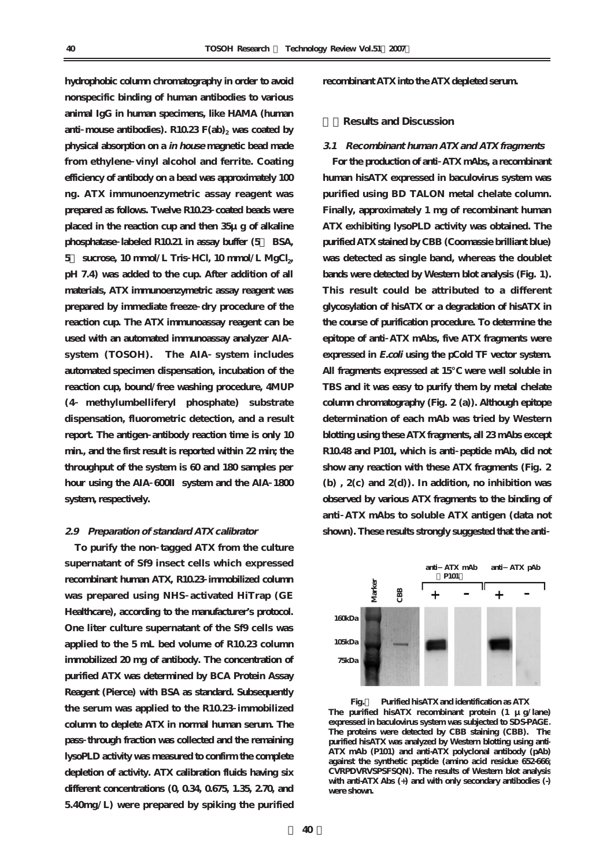**hydrophobic column chromatography in order to avoid nonspecific binding of human antibodies to various animal IgG in human specimens, like HAMA (human** anti mouse antibodies).  $R10.23$   $F(ab)$ <sub>2</sub> was coated by **physical absorption on a in house magnetic bead made from ethylene vinyl alcohol and ferrite. Coating efficiency of antibody on a bead was approximately 100 ng. ATX immunoenzymetric assay reagent was prepared as follows. Twelve R10.23 coated beads were placed in the reaction cup and then 35μg of alkaline phosphatase labeled R10.21 in assay buffer (5% BSA,** 5 sucrose, 10 mmol/L Tris HCl, 10 mmol/L MgCl<sub>2</sub>, **pH 7.4) was added to the cup. After addition of all materials, ATX immunoenzymetric assay reagent was prepared by immediate freeze dry procedure of the reaction cup. The ATX immunoassay reagent can be used with an automated immunoassay analyzer AIA system (TOSOH). The AIA system includes automated specimen dispensation, incubation of the reaction cup, bound/free washing procedure, 4MUP (4 methylumbelliferyl phosphate) substrate dispensation, fluorometric detection, and a result report. The antigen antibody reaction time is only 10 min., and the first result is reported within 22 min; the throughput of the system is 60 and 180 samples per hour using the AIA 600Ⅱ system and the AIA 1800 system, respectively.**

#### **2.9 Preparation of standard ATX calibrator**

**To purify the non tagged ATX from the culture supernatant of Sf9 insect cells which expressed recombinant human ATX, R10.23 immobilized column was prepared using NHS activated HiTrap (GE Healthcare), according to the manufacturer's protocol. One liter culture supernatant of the Sf9 cells was applied to the 5 mL bed volume of R10.23 column immobilized 20 mg of antibody. The concentration of purified ATX was determined by BCA Protein Assay Reagent (Pierce) with BSA as standard. Subsequently the serum was applied to the R10.23 immobilized column to deplete ATX in normal human serum. The pass through fraction was collected and the remaining lysoPLD activity was measured to confirm the complete depletion of activity. ATX calibration fluids having six different concentrations (0, 0.34, 0.675, 1.35, 2.70, and 5.40mg/L) were prepared by spiking the purified**

**recombinant ATX into the ATX depleted serum.**

### **3.Results and Discussion**

### **3.1 Recombinant human ATX and ATX fragments**

**For the production of anti ATX mAbs, a recombinant human hisATX expressed in baculovirus system was purified using BD TALON metal chelate column. Finally, approximately 1 mg of recombinant human ATX exhibiting lysoPLD activity was obtained. The purified ATX stained by CBB (Coomassie brilliant blue) was detected as single band, whereas the doublet bands were detected by Western blot analysis (Fig. 1). This result could be attributed to a different glycosylation of hisATX or a degradation of hisATX in the course of purification procedure. To determine the epitope of anti ATX mAbs, five ATX fragments were expressed in E.coli using the pCold TF vector system. All fragments expressed at 15℃ were well soluble in TBS and it was easy to purify them by metal chelate column chromatography (Fig. 2 (a)). Although epitope determination of each mAb was tried by Western blotting using these ATX fragments, all 23 mAbs except R10.48 and P101, which is anti peptide mAb, did not show any reaction with these ATX fragments (Fig. 2 (b) , 2(c) and 2(d)). In addition, no inhibition was observed by various ATX fragments to the binding of anti ATX mAbs to soluble ATX antigen (data not shown). These results strongly suggested that the anti**



**Fig.1 Purified hisATX and identification as ATX The purified hisATX recombinant protein (1 μg/lane) expressed in baculovirus system was subjected to SDS-PAGE. The proteins were detected by CBB staining (CBB). The purified hisATX was analyzed by Western blotting using anti-ATX mAb (P101) and anti-ATX polyclonal antibody (pAb) against the synthetic peptide (amino acid residue 652-666; CVRPDVRVSPSFSQN). The results of Western blot analysis with anti-ATX Abs (+) and with only secondary antibodies (-) were shown.**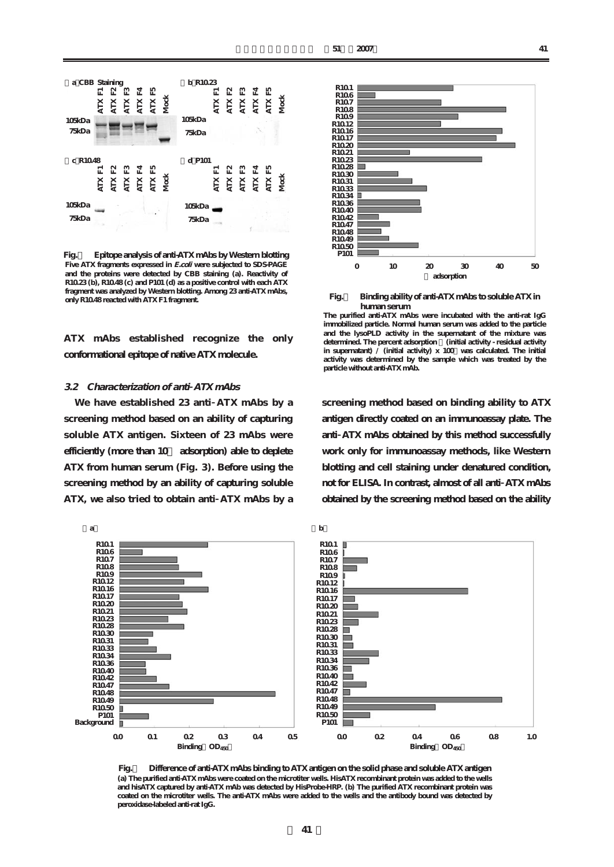

**Fig.2 Epitope analysis of anti-ATX mAbs by Western blotting** Five ATX fragments expressed in *E.coli* were subjected to SDS-PAGE **and the proteins were detected by CBB staining (a). Reactivity of R10.23 (b), R10.48 (c) and P101 (d) as a positive control with each ATX fragment was analyzed by Western blotting. Among 23 anti-ATX mAbs, only R10.48 reacted with ATX F1 fragment.**

**ATX mAbs established recognize the only conformational epitope of native ATX molecule.** 

### **3.2 Characterization of anti ATX mAbs**

**We have established 23 anti ATX mAbs by a screening method based on an ability of capturing soluble ATX antigen. Sixteen of 23 mAbs were efficiently (more than 10% adsorption) able to deplete ATX from human serum (Fig. 3). Before using the screening method by an ability of capturing soluble ATX, we also tried to obtain anti ATX mAbs by a**



**Fig.3 Binding ability of anti-ATX mAbs to soluble ATX in human serum** 

**screening method based on binding ability to ATX antigen directly coated on an immunoassay plate. The anti ATX mAbs obtained by this method successfully work only for immunoassay methods, like Western blotting and cell staining under denatured condition, not for ELISA. In contrast, almost of all anti ATX mAbs obtained by the screening method based on the ability**



**Fig.4 Difference of anti-ATX mAbs binding to ATX antigen on the solid phase and soluble ATX antigen (a) The purified anti-ATX mAbs were coated on the microtiter wells. HisATX recombinant protein was added to the wells and hisATX captured by anti-ATX mAb was detected by HisProbe-HRP. (b) The purified ATX recombinant protein was coated on the microtiter wells. The anti-ATX mAbs were added to the wells and the antibody bound was detected by peroxidase-labeled anti-rat IgG.**

**The purified anti-ATX mAbs were incubated with the anti-rat IgG immobilized particle. Normal human serum was added to the particle and the lysoPLD activity in the supernatant of the mixture was determined. The percent adsorption [(initial activity - residual activity**  in supernatant)  $\overrightarrow{l}$  (initial activity)  $x$  100 was calculated. The initial **activity was determined by the sample which was treated by the particle without anti-ATX mAb.**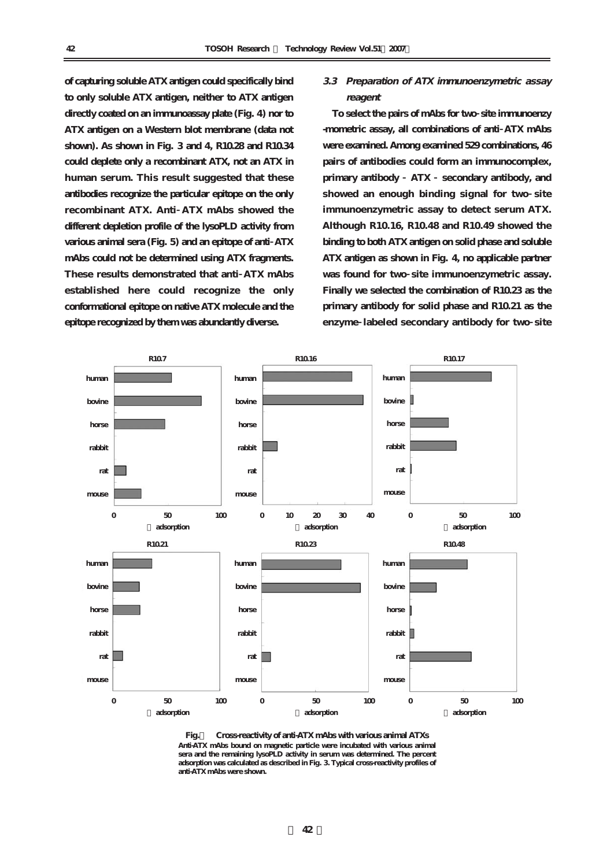**of capturing soluble ATX antigen could specifically bind to only soluble ATX antigen, neither to ATX antigen directly coated on an immunoassay plate (Fig. 4) nor to ATX antigen on a Western blot membrane (data not shown). As shown in Fig. 3 and 4, R10.28 and R10.34 could deplete only a recombinant ATX, not an ATX in human serum. This result suggested that these antibodies recognize the particular epitope on the only recombinant ATX. Anti ATX mAbs showed the different depletion profile of the lysoPLD activity from various animal sera (Fig. 5) and an epitope of anti ATX mAbs could not be determined using ATX fragments. These results demonstrated that anti ATX mAbs established here could recognize the only conformational epitope on native ATX molecule and the epitope recognized by them was abundantly diverse.**

## **3.3 Preparation of ATX immunoenzymetric assay reagent**

**To select the pairs of mAbs for two site immunoenzy -mometric assay, all combinations of anti ATX mAbs were examined. Among examined 529 combinations, 46 pairs of antibodies could form an immunocomplex, primary antibody ATX secondary antibody, and showed an enough binding signal for two site immunoenzymetric assay to detect serum ATX. Although R10.16, R10.48 and R10.49 showed the binding to both ATX antigen on solid phase and soluble ATX antigen as shown in Fig. 4, no applicable partner was found for two site immunoenzymetric assay. Finally we selected the combination of R10.23 as the primary antibody for solid phase and R10.21 as the enzyme labeled secondary antibody for two site**



**Fig.5 Cross-reactivity of anti-ATX mAbs with various animal ATXs Anti-ATX mAbs bound on magnetic particle were incubated with various animal sera and the remaining lysoPLD activity in serum was determined. The percent adsorption was calculated as described in Fig. 3. Typical cross-reactivity profiles of anti-ATX mAbs were shown.**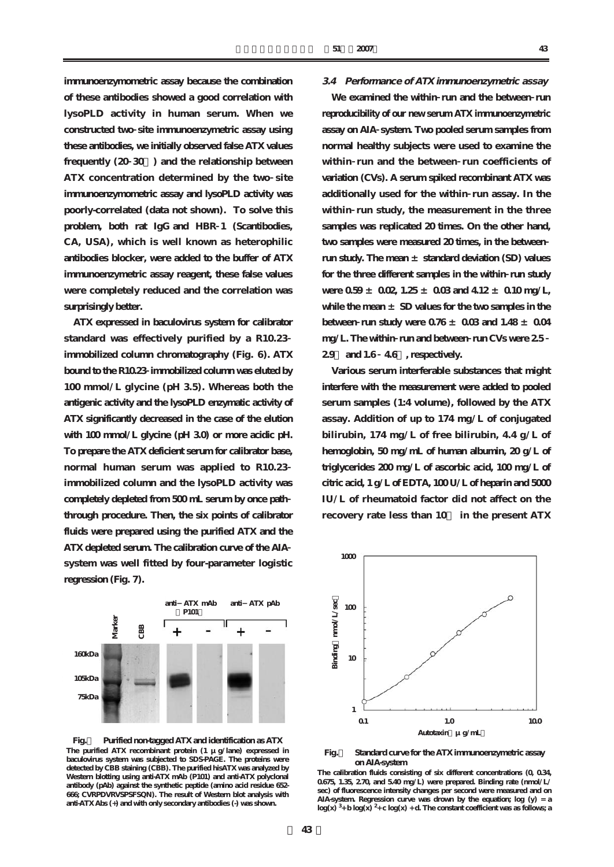**immunoenzymometric assay because the combination of these antibodies showed a good correlation with lysoPLD activity in human serum. When we constructed two site immunoenzymetric assay using these antibodies, we initially observed false ATX values frequently (20 30%) and the relationship between ATX concentration determined by the two site immunoenzymometric assay and lysoPLD activity was poorly-correlated (data not shown). To solve this problem, both rat IgG and HBR 1 (Scantibodies, CA, USA), which is well known as heterophilic antibodies blocker, were added to the buffer of ATX immunoenzymetric assay reagent, these false values were completely reduced and the correlation was surprisingly better.** 

**ATX expressed in baculovirus system for calibrator standard was effectively purified by a R10.23 immobilized column chromatography (Fig. 6). ATX bound to the R10.23 immobilized column was eluted by 100 mmol/L glycine (pH 3.5). Whereas both the antigenic activity and the lysoPLD enzymatic activity of ATX significantly decreased in the case of the elution with 100 mmol/L glycine (pH 3.0) or more acidic pH. To prepare the ATX deficient serum for calibrator base, normal human serum was applied to R10.23 immobilized column and the lysoPLD activity was completely depleted from 500 mL serum by once path through procedure. Then, the six points of calibrator fluids were prepared using the purified ATX and the ATX depleted serum. The calibration curve of the AIA system was well fitted by four-parameter logistic regression (Fig. 7).** 

### **3.4 Performance of ATX immunoenzymetric assay**

**We examined the within run and the between run reproducibility of our new serum ATX immunoenzymetric assay on AIA system. Two pooled serum samples from normal healthy subjects were used to examine the within run and the between run coefficients of variation (CVs). A serum spiked recombinant ATX was additionally used for the within run assay. In the within run study, the measurement in the three samples was replicated 20 times. On the other hand, two samples were measured 20 times, in the between run study. The mean ± standard deviation (SD) values for the three different samples in the within run study were 0.59 ± 0.02, 1.25 ± 0.03 and 4.12 ± 0.10 mg/L, while the mean ± SD values for the two samples in the** between **run study were**  $0.76 \pm 0.03$  and  $1.48 \pm 0.04$ **mg/L. The within run and between run CVs were 2.5 2.9% and 1.6 4.6%, respectively.** 

**Various serum interferable substances that might interfere with the measurement were added to pooled serum samples (1:4 volume), followed by the ATX assay. Addition of up to 174 mg/L of conjugated bilirubin, 174 mg/L of free bilirubin, 4.4 g/L of hemoglobin, 50 mg/mL of human albumin, 20 g/L of triglycerides 200 mg/L of ascorbic acid, 100 mg/L of citric acid, 1 g/L of EDTA, 100 U/L of heparin and 5000 IU/L of rheumatoid factor did not affect on the recovery rate less than 10% in the present ATX**



**Fig.6 Purified non-tagged ATX and identification as ATX The purified ATX recombinant protein (1 μg/lane) expressed in baculovirus system was subjected to SDS-PAGE. The proteins were detected by CBB staining (CBB). The purified hisATX was analyzed by Western blotting using anti-ATX mAb (P101) and anti-ATX polyclonal antibody (pAb) against the synthetic peptide (amino acid residue 652- 666; CVRPDVRVSPSFSQN). The result of Western blot analysis with anti-ATX Abs (+) and with only secondary antibodies (-) was shown.** 



#### **Fig.7 Standard curve for the ATX immunoenzymetric assay on AIA-system**

**The calibration fluids consisting of six different concentrations (0, 0.34, 0.675, 1.35, 2.70, and 5.40 mg/L) were prepared. Binding rate (nmol/L/ sec) of fluorescence intensity changes per second were measured and on AIA-system. Regression curve was drown by the equation; log (y) = a**   $log(x)$ <sup>3</sup> + b  $log(x)$ <sup>2</sup> + c  $log(x)$  + d. The constant coefficient was as follows; a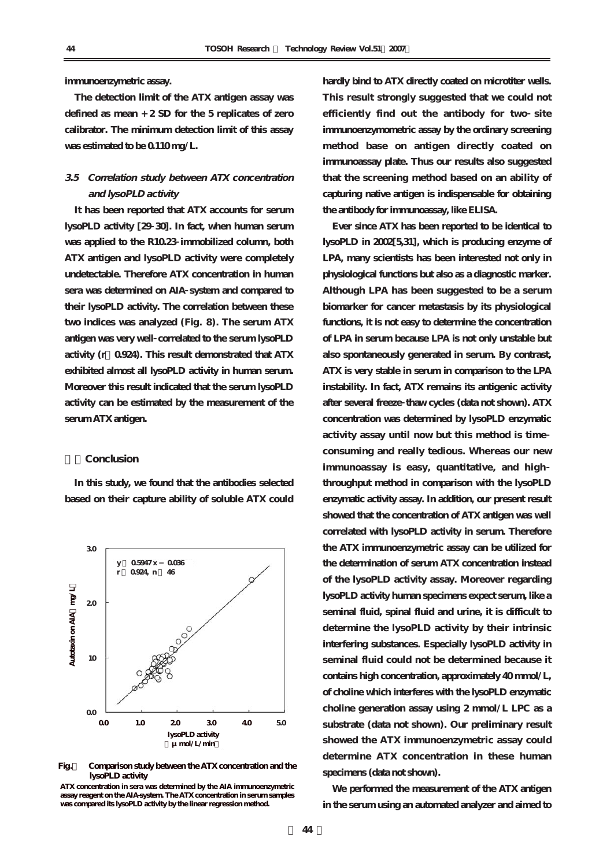#### **immunoenzymetric assay.**

**The detection limit of the ATX antigen assay was defined as mean + 2 SD for the 5 replicates of zero calibrator. The minimum detection limit of this assay was estimated to be 0.110 mg/L.**

## **3.5 Correlation study between ATX concentration and lysoPLD activity**

**It has been reported that ATX accounts for serum lysoPLD activity [29 30]. In fact, when human serum was applied to the R10.23 immobilized column, both ATX antigen and lysoPLD activity were completely undetectable. Therefore ATX concentration in human sera was determined on AIA system and compared to their lysoPLD activity. The correlation between these two indices was analyzed (Fig. 8). The serum ATX antigen was very well correlated to the serum lysoPLD activity (r=0.924). This result demonstrated that ATX exhibited almost all lysoPLD activity in human serum. Moreover this result indicated that the serum lysoPLD activity can be estimated by the measurement of the serum ATX antigen.** 

#### **4.Conclusion**

**In this study, we found that the antibodies selected based on their capture ability of soluble ATX could**



**Fig.8 Comparison study between the ATX concentration and the lysoPLD activity** 

**ATX concentration in sera was determined by the AIA immunoenzymetric assay reagent on the AIA-system. The ATX concentration in serum samples was compared its lysoPLD activity by the linear regression method.** 

**hardly bind to ATX directly coated on microtiter wells. This result strongly suggested that we could not efficiently find out the antibody for two site immunoenzymometric assay by the ordinary screening method base on antigen directly coated on immunoassay plate. Thus our results also suggested that the screening method based on an ability of capturing native antigen is indispensable for obtaining the antibody for immunoassay, like ELISA.**

**Ever since ATX has been reported to be identical to lysoPLD in 2002[5,31], which is producing enzyme of LPA, many scientists has been interested not only in physiological functions but also as a diagnostic marker. Although LPA has been suggested to be a serum biomarker for cancer metastasis by its physiological functions, it is not easy to determine the concentration of LPA in serum because LPA is not only unstable but also spontaneously generated in serum. By contrast, ATX is very stable in serum in comparison to the LPA instability. In fact, ATX remains its antigenic activity after several freeze thaw cycles (data not shown). ATX concentration was determined by lysoPLD enzymatic activity assay until now but this method is time consuming and really tedious. Whereas our new immunoassay is easy, quantitative, and high throughput method in comparison with the lysoPLD enzymatic activity assay. In addition, our present result showed that the concentration of ATX antigen was well correlated with lysoPLD activity in serum. Therefore the ATX immunoenzymetric assay can be utilized for the determination of serum ATX concentration instead of the lysoPLD activity assay. Moreover regarding lysoPLD activity human specimens expect serum, like a seminal fluid, spinal fluid and urine, it is difficult to determine the lysoPLD activity by their intrinsic interfering substances. Especially lysoPLD activity in seminal fluid could not be determined because it contains high concentration, approximately 40 mmol/L, of choline which interferes with the lysoPLD enzymatic choline generation assay using 2 mmol/L LPC as a substrate (data not shown). Our preliminary result showed the ATX immunoenzymetric assay could determine ATX concentration in these human specimens (data not shown).** 

**We performed the measurement of the ATX antigen in the serum using an automated analyzer and aimed to**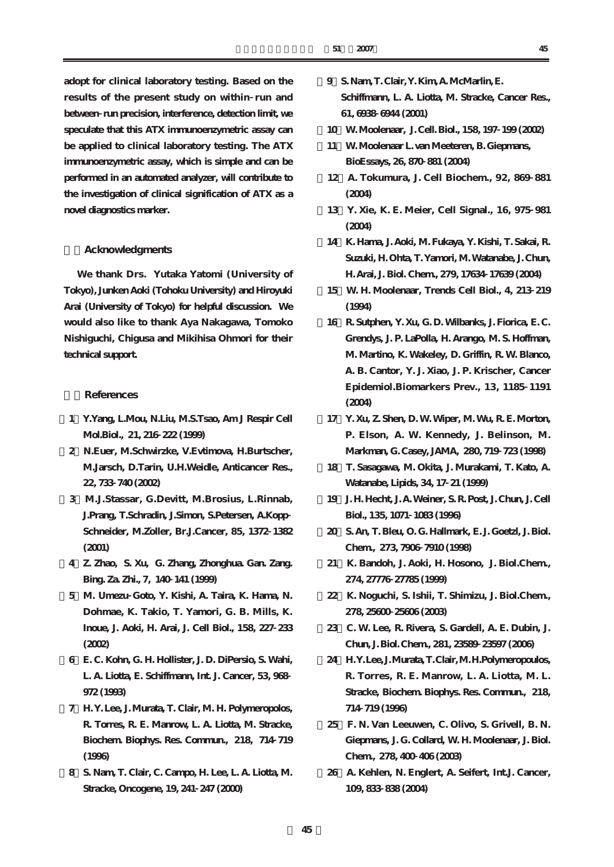**adopt for clinical laboratory testing. Based on the results of the present study on within run and between run precision, interference, detection limit, we speculate that this ATX immunoenzymetric assay can be applied to clinical laboratory testing. The ATX immunoenzymetric assay, which is simple and can be performed in an automated analyzer, will contribute to the investigation of clinical signification of ATX as a novel diagnostics marker.** 

### **5.Acknowledgments**

**We thank Drs. Yutaka Yatomi (University of Tokyo), Junken Aoki (Tohoku University) and Hiroyuki Arai (University of Tokyo) for helpful discussion. We would also like to thank Aya Nakagawa, Tomoko Nishiguchi, Chigusa and Mikihisa Ohmori for their technical support.**

### **6.References**

- **[1]Y.Yang, L.Mou, N.Liu, M.S.Tsao, Am J Respir Cell Mol.Biol., 21, 216 222 (1999)**
- **[2]N.Euer, M.Schwirzke, V.Evtimova, H.Burtscher, M.Jarsch, D.Tarin, U.H.Weidle, Anticancer Res., 22, 733 740 (2002)**
- **[3]M.J.Stassar, G.Devitt, M.Brosius, L.Rinnab, J.Prang, T.Schradin, J.Simon, S.Petersen, A.Kopp Schneider, M.Zo¨ller, Br.J.Cancer, 85, 1372 1382 (2001)**
- **[4]Z. Zhao, S. Xu, G. Zhang, Zhonghua. Gan. Zang. Bing. Za. Zhi., 7, 140 141 (1999)**
- **[5]M. Umezu Goto, Y. Kishi, A. Taira, K. Hama, N. Dohmae, K. Takio, T. Yamori, G. B. Mills, K. Inoue, J. Aoki, H. Arai, J. Cell Biol., 158, 227 233 (2002)**
- **[6]E. C. Kohn, G. H. Hollister, J. D. DiPersio, S. Wahi, L. A. Liotta, E. Schiffmann, Int. J. Cancer, 53, 968 972 (1993)**
- **[7]H. Y. Lee, J. Murata, T. Clair, M. H. Polymeropolos, R. Torres, R. E. Manrow, L. A. Liotta, M. Stracke, Biochem. Biophys. Res. Commun., 218, 714 719 (1996)**
- **[8]S. Nam, T. Clair, C. Campo, H. Lee, L. A. Liotta, M. Stracke, Oncogene, 19, 241 247 (2000)**
- **[9]S. Nam, T. Clair, Y. Kim, A. McMarlin, E. Schiffmann, L. A. Liotta, M. Stracke, Cancer Res., 61, 6938 6944 (2001)**
- **[10]W. Moolenaar, J. Cell. Biol., 158, 197 199 (2002)**
- **[11]W. Moolenaar L. van Meeteren, B. Giepmans, BioEssays, 26, 870 881 (2004)**
- **[12]A. Tokumura, J. Cell Biochem., 92, 869 881 (2004)**
- **[13]Y. Xie, K. E. Meier, Cell Signal., 16, 975 981 (2004)**
- **[14]K. Hama, J. Aoki, M. Fukaya, Y. Kishi, T. Sakai, R. Suzuki, H. Ohta, T. Yamori, M. Watanabe, J. Chun, H. Arai, J. Biol. Chem., 279, 17634 17639 (2004)**
- **[15]W. H. Moolenaar, Trends Cell Biol., 4, 213 219 (1994)**
- **[16]R. Sutphen, Y. Xu, G. D. Wilbanks, J. Fiorica, E. C. Grendys, J. P. LaPolla, H. Arango, M. S. Hoffman, M. Martino, K. Wakeley, D. Griffin, R. W. Blanco, A. B. Cantor, Y. J. Xiao, J. P. Krischer, Cancer Epidemiol.Biomarkers Prev., 13, 1185 1191 (2004)**
- **[17]Y. Xu, Z. Shen, D. W. Wiper, M. Wu, R. E. Morton, P. Elson, A. W. Kennedy, J. Belinson, M. Markman, G. Casey, JAMA, 280, 719 723 (1998)**
- **[18]T. Sasagawa, M. Okita, J. Murakami, T. Kato, A. Watanabe, Lipids, 34, 17 21 (1999)**
- **[19]J. H. Hecht, J. A. Weiner, S. R. Post, J. Chun, J. Cell Biol., 135, 1071 1083 (1996)**
- **[20]S. An, T. Bleu, O. G. Hallmark, E. J. Goetzl, J. Biol. Chem., 273, 7906 7910 (1998)**
- **[21]K. Bandoh, J. Aoki, H. Hosono, J. Biol.Chem., 274, 27776 27785 (1999)**
- **[22]K. Noguchi, S. Ishii, T. Shimizu, J. Biol.Chem., 278, 25600 25606 (2003)**
- **[23]C. W. Lee, R. Rivera, S. Gardell, A. E. Dubin, J. Chun, J. Biol. Chem., 281, 23589 23597 (2006)**
- **[24]H.Y.Lee, J.Murata, T.Clair, M.H.Polymeropoulos, R. Torres, R. E. Manrow, L. A. Liotta, M. L. Stracke, Biochem. Biophys. Res. Commun., 218, 714 719 (1996)**
- **[25]F. N. Van Leeuwen, C. Olivo, S. Grivell, B. N. Giepmans, J. G. Collard, W. H. Moolenaar, J. Biol. Chem., 278, 400 406 (2003)**
- **[26]A. Kehlen, N. Englert, A. Seifert, Int.J. Cancer, 109, 833 838 (2004)**